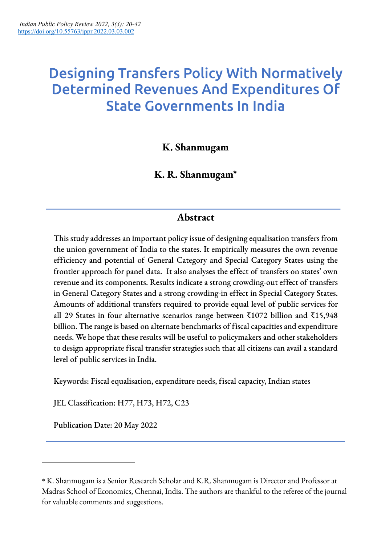# Designing Transfers Policy With Normatively Determined Revenues And Expenditures Of State Governments In India

**K. Shanmugam**

**K. R. Shanmugam\***

# **Abstract**

This study addresses an important policy issue of designing equalisation transfers from the union government of India to the states. It empirically measures the own revenue efficiency and potential of General Category and Special Category States using the frontier approach for panel data. It also analyses the effect of transfers on states' own revenue and its components. Results indicate a strong crowding-out effect of transfers in General Category States and a strong crowding-in effect in Special Category States. Amounts of additional transfers required to provide equal level of public services for all 29 States in four alternative scenarios range between ₹1072 billion and ₹15,948 billion. The range is based on alternate benchmarks of fiscal capacities and expenditure needs. We hope that these results will be useful to policymakers and other stakeholders to design appropriate fiscal transfer strategies such that all citizens can avail a standard level of public services in India.

Keywords: Fiscal equalisation, expenditure needs, fiscal capacity, Indian states

JEL Classification: H77, H73, H72, C23

Publication Date: 20 May 2022

<sup>\*</sup> K. Shanmugam is a Senior Research Scholar and K.R. Shanmugam is Director and Professor at Madras School of Economics, Chennai, India. The authors are thankful to the referee of the journal for valuable comments and suggestions.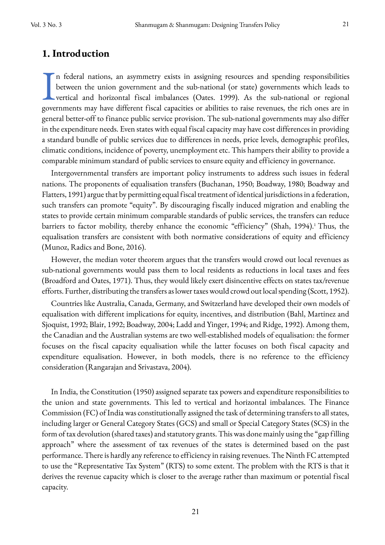### **1. Introduction**

n federal nations, an asymmetry exists in assigning resources and spending responsibilities between the union government and the sub-national (or state) governments which leads to vertical and horizontal fiscal imbalances (Oates. 1999). As the sub-national or regional In federal nations, an asymmetry exists in assigning resources and spending responsibilities<br>between the union government and the sub-national (or state) governments which leads to<br>vertical and horizontal fiscal imbalances general better-off to finance public service provision. The sub-national governments may also differ in the expenditure needs. Even states with equal fiscal capacity may have cost differences in providing a standard bundle of public services due to differences in needs, price levels, demographic profiles, climatic conditions, incidence of poverty, unemployment etc. This hampers their ability to provide a comparable minimum standard of public services to ensure equity and efficiency in governance.

Intergovernmental transfers are important policy instruments to address such issues in federal nations. The proponents of equalisation transfers (Buchanan, 1950; Boadway, 1980; Boadway and Flatters, 1991) argue that by permitting equal fiscal treatment of identical jurisdictionsin a federation, such transfers can promote "equity". By discouraging fiscally induced migration and enabling the states to provide certain minimum comparable standards of public services, the transfers can reduce barriers to factor mobility, thereby enhance the economic "efficiency" (Shah, 1994).<sup>1</sup> Thus, the equalisation transfers are consistent with both normative considerations of equity and efficiency (Munoz, Radics and Bone, 2016).

However, the median voter theorem argues that the transfers would crowd out local revenues as sub-national governments would pass them to local residents as reductions in local taxes and fees (Broadford and Oates, 1971). Thus, they would likely exert disincentive effects on states tax/revenue efforts. Further, distributing the transfers as lower taxes would crowd out local spending (Scott, 1952).

Countries like Australia, Canada, Germany, and Switzerland have developed their own models of equalisation with different implications for equity, incentives, and distribution (Bahl, Martinez and Sjoquist, 1992; Blair, 1992; Boadway, 2004; Ladd and Yinger, 1994; and Ridge, 1992). Among them, the Canadian and the Australian systems are two well-established models of equalisation: the former focuses on the fiscal capacity equalisation while the latter focuses on both fiscal capacity and expenditure equalisation. However, in both models, there is no reference to the efficiency consideration (Rangarajan and Srivastava, 2004).

In India, the Constitution (1950) assigned separate tax powers and expenditure responsibilities to the union and state governments. This led to vertical and horizontal imbalances. The Finance Commission (FC) of India was constitutionally assigned the task of determining transfers to all states, including larger or General Category States (GCS) and small or Special Category States (SCS) in the form of tax devolution (shared taxes) and statutory grants. This was done mainly using the "gap filling approach" where the assessment of tax revenues of the states is determined based on the past performance. There is hardly any reference to efficiency in raising revenues. The Ninth FC attempted to use the "Representative Tax System" (RTS) to some extent. The problem with the RTS is that it derives the revenue capacity which is closer to the average rather than maximum or potential fiscal capacity.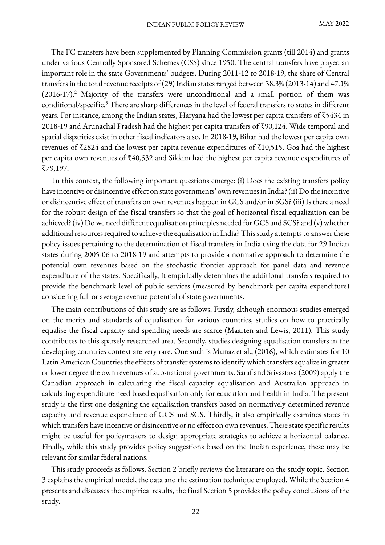The FC transfers have been supplemented by Planning Commission grants (till 2014) and grants under various Centrally Sponsored Schemes (CSS) since 1950. The central transfers have played an important role in the state Governments' budgets. During 2011-12 to 2018-19, the share of Central transfers in the total revenue receipts of (29) Indian states ranged between 38.3% (2013-14) and 47.1%  $(2016-17).<sup>2</sup>$  Majority of the transfers were unconditional and a small portion of them was conditional/specific.3 There are sharp differences in the level of federal transfers to states in different years. For instance, among the Indian states, Haryana had the lowest per capita transfers of ₹5434 in 2018-19 and Arunachal Pradesh had the highest per capita transfers of ₹90,124. Wide temporal and spatial disparities exist in other fiscal indicators also. In 2018-19, Bihar had the lowest per capita own revenues of ₹2824 and the lowest per capita revenue expenditures of ₹10,515. Goa had the highest per capita own revenues of ₹40,532 and Sikkim had the highest per capita revenue expenditures of ₹79,197.

In this context, the following important questions emerge: (i) Does the existing transfers policy have incentive or disincentive effect on state governments' own revenues in India? (ii) Do the incentive or disincentive effect of transfers on own revenues happen in GCS and/or in SGS? (iii) Is there a need for the robust design of the fiscal transfers so that the goal of horizontal fiscal equalization can be achieved? (iv) Do we need different equalisation principles needed for GCS and SCS? and (v) whether additional resources required to achieve the equalisation in India? This study attempts to answer these policy issues pertaining to the determination of fiscal transfers in India using the data for 29 Indian states during 2005-06 to 2018-19 and attempts to provide a normative approach to determine the potential own revenues based on the stochastic frontier approach for panel data and revenue expenditure of the states. Specifically, it empirically determines the additional transfers required to provide the benchmark level of public services (measured by benchmark per capita expenditure) considering full or average revenue potential of state governments.

The main contributions of this study are as follows. Firstly, although enormous studies emerged on the merits and standards of equalisation for various countries, studies on how to practically equalise the fiscal capacity and spending needs are scarce (Maarten and Lewis, 2011). This study contributes to this sparsely researched area. Secondly, studies designing equalisation transfers in the developing countries context are very rare. One such is Munaz et al., (2016), which estimates for 10 Latin American Countries the effects of transfer systems to identify which transfers equalize in greater or lower degree the own revenues of sub-national governments. Saraf and Srivastava (2009) apply the Canadian approach in calculating the fiscal capacity equalisation and Australian approach in calculating expenditure need based equalisation only for education and health in India. The present study is the first one designing the equalisation transfers based on normatively determined revenue capacity and revenue expenditure of GCS and SCS. Thirdly, it also empirically examines states in which transfers have incentive or disincentive or no effect on own revenues. These state specific results might be useful for policymakers to design appropriate strategies to achieve a horizontal balance. Finally, while this study provides policy suggestions based on the Indian experience, these may be relevant for similar federal nations.

This study proceeds as follows. Section 2 briefly reviews the literature on the study topic. Section 3 explains the empirical model, the data and the estimation technique employed. While the Section 4 presents and discusses the empirical results, the final Section 5 provides the policy conclusions of the study.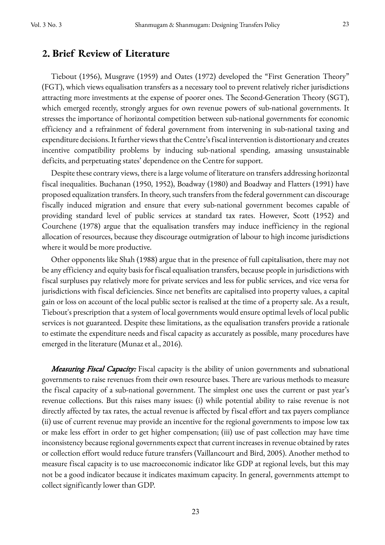### **2. Brief Review of Literature**

Tiebout (1956), Musgrave (1959) and Oates (1972) developed the "First Generation Theory" (FGT), which views equalisation transfers as a necessary tool to prevent relatively richer jurisdictions attracting more investments at the expense of poorer ones. The Second-Generation Theory (SGT), which emerged recently, strongly argues for own revenue powers of sub-national governments. It stresses the importance of horizontal competition between sub-national governments for economic efficiency and a refrainment of federal government from intervening in sub-national taxing and expenditure decisions. It further views that the Centre's fiscal intervention is distortionary and creates incentive compatibility problems by inducing sub-national spending, amassing unsustainable deficits, and perpetuating states' dependence on the Centre for support.

Despite these contrary views, there is a large volume of literature on transfers addressing horizontal fiscal inequalities. Buchanan (1950, 1952), Boadway (1980) and Boadway and Flatters (1991) have proposed equalization transfers. In theory, such transfers from the federal government can discourage fiscally induced migration and ensure that every sub-national government becomes capable of providing standard level of public services at standard tax rates. However, Scott (1952) and Courchene (1978) argue that the equalisation transfers may induce inefficiency in the regional allocation of resources, because they discourage outmigration of labour to high income jurisdictions where it would be more productive.

Other opponents like Shah (1988) argue that in the presence of full capitalisation, there may not be any efficiency and equity basis for fiscal equalisation transfers, because people in jurisdictions with fiscal surpluses pay relatively more for private services and less for public services, and vice versa for jurisdictions with fiscal deficiencies. Since net benefits are capitalised into property values, a capital gain or loss on account of the local public sector is realised at the time of a property sale. As a result, Tiebout's prescription that a system of local governments would ensure optimal levels of local public services is not guaranteed. Despite these limitations, as the equalisation transfers provide a rationale to estimate the expenditure needs and fiscal capacity as accurately as possible, many procedures have emerged in the literature (Munaz et al., 2016).

Measuring Fiscal Capacity: Fiscal capacity is the ability of union governments and subnational governments to raise revenues from their own resource bases. There are various methods to measure the fiscal capacity of a sub-national government. The simplest one uses the current or past year's revenue collections. But this raises many issues: (i) while potential ability to raise revenue is not directly affected by tax rates, the actual revenue is affected by fiscal effort and tax payers compliance (ii) use of current revenue may provide an incentive for the regional governments to impose low tax or make less effort in order to get higher compensation; (iii) use of past collection may have time inconsistency because regional governments expect that current increases in revenue obtained by rates or collection effort would reduce future transfers (Vaillancourt and Bird, 2005). Another method to measure fiscal capacity is to use macroeconomic indicator like GDP at regional levels, but this may not be a good indicator because it indicates maximum capacity. In general, governments attempt to collect significantly lower than GDP.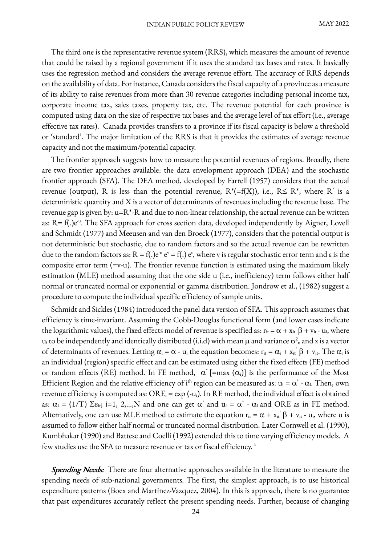The third one is the representative revenue system (RRS), which measures the amount of revenue that could be raised by a regional government if it uses the standard tax bases and rates. It basically uses the regression method and considers the average revenue effort. The accuracy of RRS depends on the availability of data. For instance, Canada considers the fiscal capacity of a province as a measure of its ability to raise revenues from more than 30 revenue categories including personal income tax, corporate income tax, sales taxes, property tax, etc. The revenue potential for each province is computed using data on the size of respective tax bases and the average level of tax effort (i.e., average effective tax rates). Canada provides transfers to a province if its fiscal capacity is below a threshold or 'standard'. The major limitation of the RRS is that it provides the estimates of average revenue capacity and not the maximum/potential capacity.

The frontier approach suggests how to measure the potential revenues of regions. Broadly, there are two frontier approaches available: the data envelopment approach (DEA) and the stochastic frontier approach (SFA). The DEA method, developed by Farrell (1957) considers that the actual revenue (output), R is less than the potential revenue,  $R^*(=f(X))$ , i.e.,  $R \leq R^*$ , where R<sup>\*</sup> is a deterministic quantity and X is a vector of determinants of revenues including the revenue base. The revenue gap is given by:  $u=R^*R$  and due to non-linear relationship, the actual revenue can be written as: R= f(.)e<sup>-u</sup>. The SFA approach for cross section data, developed independently by Aigner, Lovell and Schmidt (1977) and Meeusen and van den Broeck (1977), considers that the potential output is not deterministic but stochastic, due to random factors and so the actual revenue can be rewritten due to the random factors as:  $R = f(.)e^u e^v = f(.) e^s$ , where v is regular stochastic error term and  $\varepsilon$  is the composite error term (=v-u). The frontier revenue function is estimated using the maximum likely estimation (MLE) method assuming that the one side u (i.e., inefficiency) term follows either half normal or truncated normal or exponential or gamma distribution. Jondrow et al., (1982) suggest a procedure to compute the individual specific efficiency of sample units.

Schmidt and Sickles (1984) introduced the panel data version of SFA. This approach assumes that efficiency is time-invariant. Assuming the Cobb-Douglas functional form (and lower cases indicate the logarithmic values), the fixed effects model of revenue is specified as:  $r_{it} = \alpha + x_{it}$   $\beta + v_{it}$  -  $u_i$ , where  $u_i$  to be independently and identically distributed (i.i.d) with mean  $\mu$  and variance  $\sigma^2$  and x is a vector of determinants of revenues. Letting  $\alpha_i = \alpha - u_i$  the equation becomes:  $r_{it} = \alpha_i + x_{it}$   $\beta + v_{it}$ . The  $\alpha_i$  is an individual (region) specific effect and can be estimated using either the fixed effects (FE) method or random effects (RE) method. In FE method,  $\alpha^*$  [=max  $(\alpha_i)$ ] is the performance of the Most Efficient Region and the relative efficiency of i<sup>th</sup> region can be measured as:  $u_i = \alpha^* \cdot \alpha_i$ . Then, own revenue efficiency is computed as:  $\text{ORE}_{i} = \exp(-u_{i})$ . In RE method, the individual effect is obtained as:  $\alpha_i = (1/T) \Sigma \varepsilon_{it}$ ; i=1, 2,...,N and one can get  $\alpha^*$  and  $u_i = \alpha^*$  -  $\alpha_i$  and ORE as in FE method. Alternatively, one can use MLE method to estimate the equation  $r_{it} = \alpha + x_{it}$ ;  $\beta + v_{it}$  -  $u_i$ , where u is assumed to follow either half normal or truncated normal distribution. Later Cornwell et al. (1990), Kumbhakar (1990) and Battese and Coelli (1992) extended this to time varying efficiency models. A few studies use the SFA to measure revenue or tax or fiscal efficiency.<sup>4</sup>

Spending Needs: There are four alternative approaches available in the literature to measure the spending needs of sub-national governments. The first, the simplest approach, is to use historical expenditure patterns (Boex and Martinez-Vazquez, 2004). In this is approach, there is no guarantee that past expenditures accurately reflect the present spending needs. Further, because of changing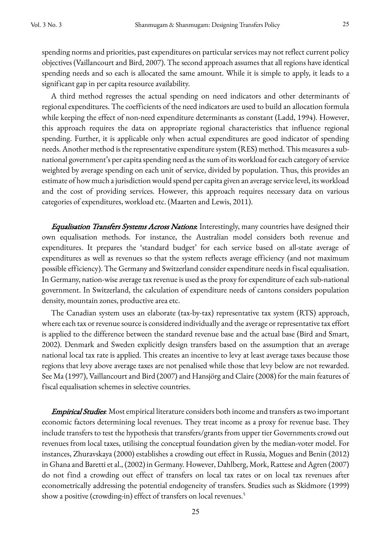spending norms and priorities, past expenditures on particular services may not reflect current policy objectives (Vaillancourt and Bird, 2007). The second approach assumes that all regions have identical spending needs and so each is allocated the same amount. While it is simple to apply, it leads to a significant gap in per capita resource availability.

A third method regresses the actual spending on need indicators and other determinants of regional expenditures. The coefficients of the need indicators are used to build an allocation formula while keeping the effect of non-need expenditure determinants as constant (Ladd, 1994). However, this approach requires the data on appropriate regional characteristics that influence regional spending. Further, it is applicable only when actual expenditures are good indicator of spending needs. Another method is the representative expenditure system (RES) method. This measures a subnational government's per capita spending need as the sum of its workload for each category of service weighted by average spending on each unit of service, divided by population. Thus, this provides an estimate of how much ajurisdiction would spend per capita given an average service level, its workload and the cost of providing services. However, this approach requires necessary data on various categories of expenditures, workload etc. (Maarten and Lewis, 2011).

**Equalisation Transfers Systems Across Nations.** Interestingly, many countries have designed their own equalisation methods. For instance, the Australian model considers both revenue and expenditures. It prepares the 'standard budget' for each service based on all-state average of expenditures as well as revenues so that the system reflects average efficiency (and not maximum possible efficiency). The Germany and Switzerland consider expenditure needs in fiscal equalisation. In Germany, nation-wise average tax revenue is used as the proxy for expenditure of each sub-national government. In Switzerland, the calculation of expenditure needs of cantons considers population density, mountain zones, productive area etc.

The Canadian system uses an elaborate (tax-by-tax) representative tax system (RTS) approach, where each tax or revenue source is considered individually and the average or representative tax effort is applied to the difference between the standard revenue base and the actual base (Bird and Smart, 2002). Denmark and Sweden explicitly design transfers based on the assumption that an average national local tax rate is applied. This creates an incentive to levy at least average taxes because those regions that levy above average taxes are not penalised while those that levy below are not rewarded. See Ma (1997), Vaillancourt and Bird (2007) and Hansjörg and Claire (2008) for the main features of fiscal equalisation schemes in selective countries.

Empirical Studies: Most empirical literature considers both income and transfers as two important economic factors determining local revenues. They treat income as a proxy for revenue base. They include transfers to test the hypothesis that transfers/grants from upper tier Governments crowd out revenues from local taxes, utilising the conceptual foundation given by the median-voter model. For instances, Zhuravskaya (2000) establishes a crowding out effect in Russia, Mogues and Benin (2012) in Ghana and Baretti et al., (2002) in Germany. However, Dahlberg, Mork, Rattese and Agren (2007) do not find a crowding out effect of transfers on local tax rates or on local tax revenues after econometrically addressing the potential endogeneity of transfers. Studies such as Skidmore (1999) show a positive (crowding-in) effect of transfers on local revenues.<sup>5</sup>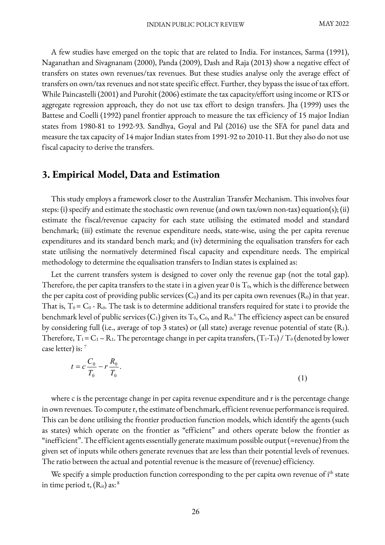A few studies have emerged on the topic that are related to India. For instances, Sarma (1991), Naganathan and Sivagnanam (2000), Panda (2009), Dash and Raja (2013) show a negative effect of transfers on states own revenues/tax revenues. But these studies analyse only the average effect of transfers on own/tax revenues and not state specific effect. Further, they bypass the issue of tax effort. While Paincastelli (2001) and Purohit (2006) estimate the tax capacity/effort using income or RTS or aggregate regression approach, they do not use tax effort to design transfers. Jha (1999) uses the Battese and Coelli (1992) panel frontier approach to measure the tax efficiency of 15 major Indian states from 1980-81 to 1992-93. Sandhya, Goyal and Pal (2016) use the SFA for panel data and measure the tax capacity of 14 major Indian states from 1991-92 to 2010-11. But they also do not use fiscal capacity to derive the transfers.

### **3. Empirical Model, Data and Estimation**

This study employs a framework closer to the Australian Transfer Mechanism. This involves four steps: (i) specify and estimate the stochastic own revenue (and own tax/own non-tax) equation(s); (ii) estimate the fiscal/revenue capacity for each state utilising the estimated model and standard benchmark; (iii) estimate the revenue expenditure needs, state-wise, using the per capita revenue expenditures and its standard bench mark; and (iv) determining the equalisation transfers for each state utilising the normatively determined fiscal capacity and expenditure needs. The empirical methodology to determine the equalisation transfers to Indian states is explained as:

Let the current transfers system is designed to cover only the revenue gap (not the total gap). Therefore, the per capita transfers to the state i in a given year 0 is  $T_0$ , which is the difference between the per capita cost of providing public services ( $C_0$ ) and its per capita own revenues ( $R_0$ ) in that year. That is,  $T_0 = C_0$  -  $R_0$ . The task is to determine additional transfers required for state i to provide the benchmark level of public services (C<sub>1</sub>) given its T<sub>0</sub>, C<sub>0</sub>, and R<sub>0</sub>.<sup>6</sup> The efficiency aspect can be ensured by considering full (i.e., average of top 3 states) or (all state) average revenue potential of state  $(R_1)$ . Therefore,  $T_1 = C_1 - R_1$ . The percentage change in per capita transfers,  $(T_1 - T_0) / T_0$  (denoted by lower case letter) is: 7

$$
t = c \frac{C_0}{T_0} - r \frac{R_0}{T_0}.
$$
\n(1)

where c is the percentage change in per capita revenue expenditure and r is the percentage change in own revenues. To compute r, the estimate of benchmark, efficient revenue performance is required. This can be done utilising the frontier production function models, which identify the agents (such as states) which operate on the frontier as "efficient" and others operate below the frontier as "inefficient". The efficient agents essentially generate maximum possible output (=revenue) from the given set of inputs while others generate revenues that are less than their potential levels of revenues. The ratio between the actual and potential revenue is the measure of (revenue) efficiency.

We specify a simple production function corresponding to the per capita own revenue of i<sup>th</sup> state in time period t,  $(R_{it})$  as:  $8$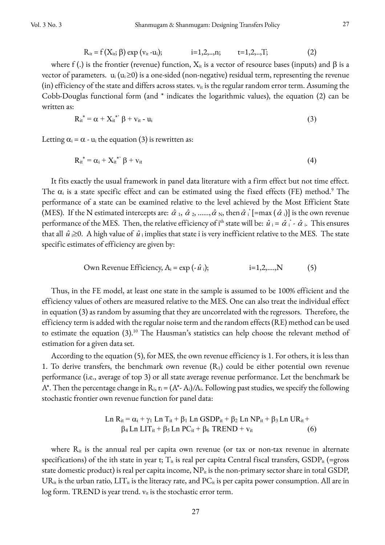$$
R_{it} = f(X_{it}; \beta) \exp (v_{it} - u_i); \qquad i = 1, 2, ..., n; \qquad t = 1, 2, ..., T; \qquad (2)
$$

where f (.) is the frontier (revenue) function,  $X_{it}$  is a vector of resource bases (inputs) and  $\beta$  is a vector of parameters.  $u_i (u_i \ge 0)$  is a one-sided (non-negative) residual term, representing the revenue (in) efficiency of the state and differs across states.  $v_{it}$  is the regular random error term. Assuming the Cobb-Douglas functional form (and \* indicates the logarithmic values), the equation (2) can be written as:

$$
R_{it}^* = \alpha + X_{it}^* \beta + v_{it} - u_i
$$
 (3)

Letting  $\alpha_i = \alpha - u_i$  the equation (3) is rewritten as:

$$
R_{it}^* = \alpha_i + X_{it}^* \beta + v_{it}
$$
 (4)

It fits exactly the usual framework in panel data literature with a firm effect but not time effect. The  $\alpha_i$  is a state specific effect and can be estimated using the fixed effects (FE) method.<sup>9</sup> The performance of a state can be examined relative to the level achieved by the Most Efficient State (MES). If the N estimated intercepts are:  $\hat{\alpha}$  1,  $\hat{\alpha}$  2, ......,  $\hat{\alpha}$  <sub>N</sub>, then  $\hat{\alpha}$  i [=max ( $\hat{\alpha}$  i)] is the own revenue performance of the MES. Then, the relative efficiency of i<sup>th</sup> state will be:  $\hat{u}$  i =  $\hat{\alpha}$  i. This ensures that all  $\hat{u} \ge 0$ . A high value of  $\hat{u}$  implies that state i is very inefficient relative to the MES. The state specific estimates of efficiency are given by:

$$
Own Revenue Efficiency, A_i = exp(-\hat{u}_i); \qquad i=1,2,...,N \qquad (5)
$$

Thus, in the FE model, at least one state in the sample is assumed to be 100% efficient and the efficiency values of others are measured relative to the MES. One can also treat the individual effect in equation (3) as random by assuming that they are uncorrelated with the regressors. Therefore, the efficiency term is added with the regular noise term and the random effects (RE) method can be used to estimate the equation  $(3)$ .<sup>10</sup> The Hausman's statistics can help choose the relevant method of estimation for a given data set.

According to the equation (5), for MES, the own revenue efficiency is 1. For others, it is less than 1. To derive transfers, the benchmark own revenue  $(R_1)$  could be either potential own revenue performance (i.e., average of top 3) or all state average revenue performance. Let the benchmark be A\*. Then the percentage change in  $R_i$ ,  $r_i = (A^* - A_i)/A_i$ . Following past studies, we specify the following stochastic frontier own revenue function for panel data:

$$
Ln R_{it} = \alpha_i + \gamma_1 Ln T_{it} + \beta_1 Ln GSDP_{it} + \beta_2 Ln NP_{it} + \beta_3 Ln UR_{it} + \beta_4 Ln LIT_{it} + \beta_5 Ln PC_{it} + \beta_6 TREND + v_{it}
$$
\n(6)

where  $R_{it}$  is the annual real per capita own revenue (or tax or non-tax revenue in alternate specifications) of the ith state in year t;  $T_{it}$  is real per capita Central fiscal transfers,  $GSDP_{it}$  (=gross state domestic product) is real per capita income,  $NP_{it}$  is the non-primary sector share in total GSDP,  $UR_{it}$  is the urban ratio,  $LIT_{it}$  is the literacy rate, and  $PC_{it}$  is per capita power consumption. All are in  $log$  form. TREND is year trend.  $v_{it}$  is the stochastic error term.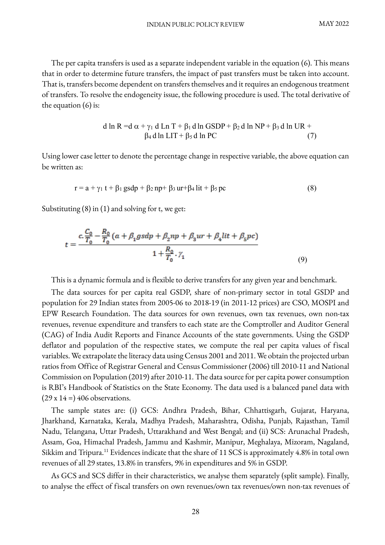The per capita transfers is used as a separate independent variable in the equation (6). This means that in order to determine future transfers, the impact of past transfers must be taken into account. That is, transfers become dependent on transfers themselves and it requires an endogenous treatment of transfers. To resolve the endogeneity issue, the following procedure is used. The total derivative of the equation  $(6)$  is:

d ln R = 
$$
d \alpha + \gamma_1 d
$$
 Ln T +  $\beta_1 d$  ln GSDP +  $\beta_2 d$  ln NP +  $\beta_3 d$  ln UR +  
\n $\beta_4 d$  ln LIT +  $\beta_5 d$  ln PC (7)

Using lower case letter to denote the percentage change in respective variable, the above equation can be written as:

$$
r = a + \gamma_1 t + \beta_1 g \cdot s d p + \beta_2 n p + \beta_3 u r + \beta_4 l i t + \beta_5 p c \tag{8}
$$

Substituting (8) in (1) and solving for t, we get:

$$
t = \frac{c \cdot \frac{C_0}{T_0} - \frac{R_0}{T_0} (a + \beta_1 g s d p + \beta_2 n p + \beta_3 u r + \beta_4 l i t + \beta_5 p c)}{1 + \frac{R_0}{T_0} \cdot \gamma_1} \tag{9}
$$

This is a dynamic formula and is flexible to derive transfers for any given year and benchmark.

The data sources for per capita real GSDP, share of non-primary sector in total GSDP and population for 29 Indian states from 2005-06 to 2018-19 (in 2011-12 prices) are CSO, MOSPI and EPW Research Foundation. The data sources for own revenues, own tax revenues, own non-tax revenues, revenue expenditure and transfers to each state are the Comptroller and Auditor General (CAG) of India Audit Reports and Finance Accounts of the state governments. Using the GSDP deflator and population of the respective states, we compute the real per capita values of fiscal variables. We extrapolate the literacy data using Census 2001 and 2011.We obtain the projected urban ratios from Office of Registrar General and Census Commissioner (2006) till 2010-11 and National Commission on Population (2019) after 2010-11. The data source for per capita power consumption is RBI's Handbook of Statistics on the State Economy. The data used is a balanced panel data with  $(29 \times 14 =) 406$  observations.

The sample states are: (i) GCS: Andhra Pradesh, Bihar, Chhattisgarh, Gujarat, Haryana, Jharkhand, Karnataka, Kerala, Madhya Pradesh, Maharashtra, Odisha, Punjab, Rajasthan, Tamil Nadu, Telangana, Uttar Pradesh, Uttarakhand and West Bengal; and (ii) SCS: Arunachal Pradesh, Assam, Goa, Himachal Pradesh, Jammu and Kashmir, Manipur, Meghalaya, Mizoram, Nagaland, Sikkim and Tripura.<sup>11</sup> Evidences indicate that the share of 11 SCS is approximately 4.8% in total own revenues of all 29 states, 13.8% in transfers, 9% in expenditures and 5% in GSDP.

As GCS and SCS differ in their characteristics, we analyse them separately (split sample). Finally, to analyse the effect of fiscal transfers on own revenues/own tax revenues/own non-tax revenues of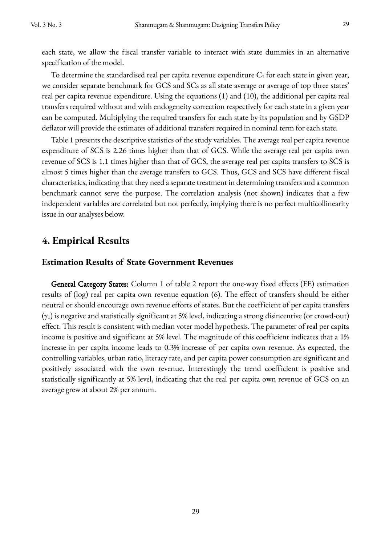each state, we allow the fiscal transfer variable to interact with state dummies in an alternative specification of the model.

To determine the standardised real per capita revenue expenditure  $C_1$  for each state in given year, we consider separate benchmark for GCS and SCs as all state average or average of top three states' real per capita revenue expenditure. Using the equations (1) and (10), the additional per capita real transfers required without and with endogeneity correction respectively for each state in a given year can be computed. Multiplying the required transfers for each state by its population and by GSDP deflator will provide the estimates of additional transfers required in nominal term for each state.

Table 1 presents the descriptive statistics of the study variables. The average real per capita revenue expenditure of SCS is 2.26 times higher than that of GCS. While the average real per capita own revenue of SCS is 1.1 times higher than that of GCS, the average real per capita transfers to SCS is almost 5 times higher than the average transfers to GCS. Thus, GCS and SCS have different fiscal characteristics, indicating that they need a separate treatment in determining transfers and a common benchmark cannot serve the purpose. The correlation analysis (not shown) indicates that a few independent variables are correlated but not perfectly, implying there is no perfect multicollinearity issue in our analyses below.

# **4. Empirical Results**

### **Estimation Results of State Government Revenues**

General Category States: Column 1 of table 2 report the one-way fixed effects (FE) estimation results of (log) real per capita own revenue equation (6). The effect of transfers should be either neutral or should encourage own revenue efforts of states. But the coefficient of per capita transfers  $(y_1)$  is negative and statistically significant at 5% level, indicating a strong disincentive (or crowd-out) effect. This result is consistent with median voter model hypothesis. The parameter of real per capita income is positive and significant at 5% level. The magnitude of this coefficient indicates that a 1% increase in per capita income leads to 0.3% increase of per capita own revenue. As expected, the controlling variables, urban ratio, literacy rate, and per capita power consumption are significant and positively associated with the own revenue. Interestingly the trend coefficient is positive and statistically significantly at 5% level, indicating that the real per capita own revenue of GCS on an average grew at about 2% per annum.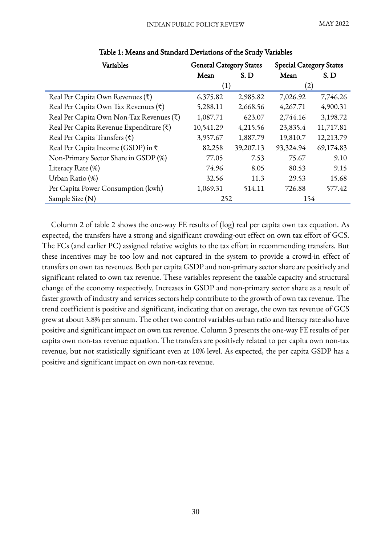| Variables                                | <b>General Category States</b> |           | <b>Special Category States</b> |           |  |
|------------------------------------------|--------------------------------|-----------|--------------------------------|-----------|--|
|                                          | Mean                           | S.D       | Mean                           | S.D       |  |
|                                          | (1)                            |           | (2)                            |           |  |
| Real Per Capita Own Revenues (₹)         | 6,375.82                       | 2,985.82  | 7,026.92                       | 7,746.26  |  |
| Real Per Capita Own Tax Revenues (₹)     | 5,288.11                       | 2,668.56  | 4,267.71                       | 4,900.31  |  |
| Real Per Capita Own Non-Tax Revenues (₹) | 1,087.71                       | 623.07    | 2,744.16                       | 3,198.72  |  |
| Real Per Capita Revenue Expenditure (₹)  | 10,541.29                      | 4,215.56  | 23,835.4                       | 11,717.81 |  |
| Real Per Capita Transfers $(\bar{\tau})$ | 3,957.67                       | 1,887.79  | 19,810.7                       | 12,213.79 |  |
| Real Per Capita Income (GSDP) in ₹       | 82,258                         | 39,207.13 | 93,324.94                      | 69,174.83 |  |
| Non-Primary Sector Share in GSDP (%)     | 77.05                          | 7.53      | 75.67                          | 9.10      |  |
| Literacy Rate (%)                        | 74.96                          | 8.05      | 80.53                          | 9.15      |  |
| Urban Ratio (%)                          | 32.56                          | 11.3      | 29.53                          | 15.68     |  |
| Per Capita Power Consumption (kwh)       | 1,069.31                       | 514.11    | 726.88                         | 577.42    |  |
| Sample Size (N)                          | 252                            |           | 154                            |           |  |

### Table 1: Means and Standard Deviations of the Study Variables

Column 2 of table 2 shows the one-way FE results of (log) real per capita own tax equation. As expected, the transfers have a strong and significant crowding-out effect on own tax effort of GCS. The FCs (and earlier PC) assigned relative weights to the tax effort in recommending transfers. But these incentives may be too low and not captured in the system to provide a crowd-in effect of transfers on own tax revenues. Both per capita GSDP and non-primary sector share are positively and significant related to own tax revenue. These variables represent the taxable capacity and structural change of the economy respectively. Increases in GSDP and non-primary sector share as a result of faster growth of industry and services sectors help contribute to the growth of own tax revenue. The trend coefficient is positive and significant, indicating that on average, the own tax revenue of GCS grew at about 3.8% per annum. The other two control variables-urban ratio and literacy rate also have positive and significant impact on own tax revenue. Column 3 presents the one-way FE results of per capita own non-tax revenue equation. The transfers are positively related to per capita own non-tax revenue, but not statistically significant even at 10% level. As expected, the per capita GSDP has a positive and significant impact on own non-tax revenue.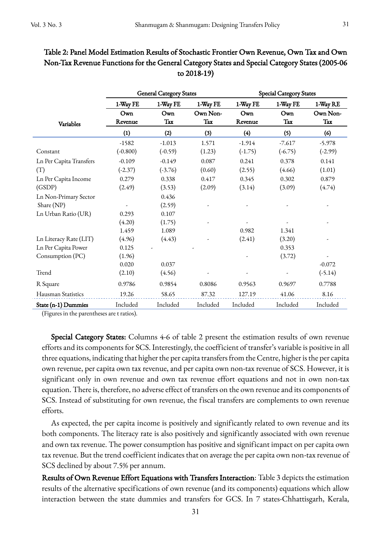|                         |                |                                | to 2018-19)     |                         |            |                 |  |  |
|-------------------------|----------------|--------------------------------|-----------------|-------------------------|------------|-----------------|--|--|
|                         |                | <b>General Category States</b> |                 | Special Category States |            |                 |  |  |
|                         | 1-Way FE       | 1-Way FE                       | 1-Way FE        | 1-Way FE                | 1-Way FE   | 1-Way RE        |  |  |
| Variables               | Own<br>Revenue | Own<br>Tax                     | Own Non-<br>Tax | Own<br>Revenue          | Own<br>Tax | Own Non-<br>Tax |  |  |
|                         | (1)            | (2)                            | (3)             | (4)                     | (5)        | (6)             |  |  |
|                         | $-1582$        | $-1.013$                       | 1.571           | $-1.914$                | $-7.617$   | $-5.978$        |  |  |
| Constant                | $(-0.800)$     | $(-0.59)$                      | (1.23)          | $(-1.75)$               | $(-6.75)$  | $(-2.99)$       |  |  |
| Ln Per Capita Transfers | $-0.109$       | $-0.149$                       | 0.087           | 0.241                   | 0.378      | 0.141           |  |  |
| (T)                     | $(-2.37)$      | $(-3.76)$                      | (0.60)          | (2.55)                  | (4.66)     | (1.01)          |  |  |
| Ln Per Capita Income    | 0.279          | 0.338                          | 0.417           | 0.345                   | 0.302      | 0.879           |  |  |
| (GSDP)                  | (2.49)         | (3.53)                         | (2.09)          | (3.14)                  | (3.09)     | (4.74)          |  |  |
| Ln Non-Primary Sector   |                | 0.436                          |                 |                         |            |                 |  |  |
| Share (NP)              |                | (2.59)                         |                 |                         |            |                 |  |  |
| Ln Urban Ratio (UR)     | 0.293          | 0.107                          |                 |                         |            |                 |  |  |
|                         | (4.20)         | (1.75)                         |                 |                         |            |                 |  |  |
|                         | 1.459          | 1.089                          |                 | 0.982                   | 1.341      |                 |  |  |
| Ln Literacy Rate (LIT)  | (4.96)         | (4.43)                         |                 | (2.41)                  | (3.20)     |                 |  |  |
| Ln Per Capita Power     | 0.125          |                                |                 |                         | 0.353      |                 |  |  |
| Consumption (PC)        | (1.96)         |                                |                 |                         | (3.72)     |                 |  |  |
|                         | 0.020          | 0.037                          |                 |                         |            | $-0.072$        |  |  |
| Trend                   | (2.10)         | (4.56)                         |                 |                         |            | $(-5.14)$       |  |  |

# Table 2: Panel Model Estimation Results of Stochastic Frontier Own Revenue, Own Tax and Own Non-Tax Revenue Functions for the General Category States and Special Category States (2005-06

(Figures in the parentheses are t ratios).

Special Category States: Columns 4-6 of table 2 present the estimation results of own revenue efforts and its components for SCS. Interestingly, the coefficient of transfer's variable is positive in all three equations, indicating that higher the per capita transfers from the Centre, higher is the per capita own revenue, per capita own tax revenue, and per capita own non-tax revenue of SCS. However, it is significant only in own revenue and own tax revenue effort equations and not in own non-tax equation. There is, therefore, no adverse effect of transfers on the own revenue and its components of SCS. Instead of substituting for own revenue, the fiscal transfers are complements to own revenue efforts.

R Square 0.9786 0.9854 0.8086 0.9563 0.9697 0.7788 Hausman Statistics 19.26 58.65 87.32 127.19 41.06 8.16 State (n-1) Dummies Included Included Included Included Included Included

As expected, the per capita income is positively and significantly related to own revenue and its both components. The literacy rate is also positively and significantly associated with own revenue and own tax revenue. The power consumption has positive and significant impact on per capita own tax revenue. But the trend coefficient indicates that on average the per capita own non-tax revenue of SCS declined by about 7.5% per annum.

Results of Own Revenue Effort Equations with Transfers Interaction: Table 3 depicts the estimation results of the alternative specifications of own revenue (and its components) equations which allow interaction between the state dummies and transfers for GCS. In 7 states-Chhattisgarh, Kerala,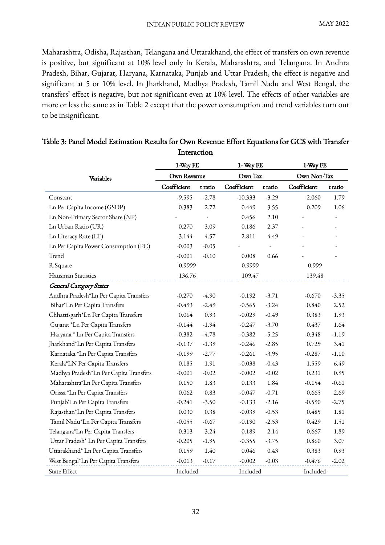Maharashtra, Odisha, Rajasthan, Telangana and Uttarakhand, the effect of transfers on own revenue is positive, but significant at 10% level only in Kerala, Maharashtra, and Telangana. In Andhra Pradesh, Bihar, Gujarat, Haryana, Karnataka, Punjab and Uttar Pradesh, the effect is negative and significant at 5 or 10% level. In Jharkhand, Madhya Pradesh, Tamil Nadu and West Bengal, the transfers' effect is negative, but not significant even at 10% level. The effects of other variables are more or less the same as in Table 2 except that the power consumption and trend variables turn out to be insignificant.

|                                        | 1-Way FE    |         | 1- Way FE   |                          | 1-Way FE    |         |  |
|----------------------------------------|-------------|---------|-------------|--------------------------|-------------|---------|--|
| Variables                              | Own Revenue |         | Own Tax     |                          | Own Non-Tax |         |  |
|                                        | Coefficient | t ratio | Coefficient | t ratio                  | Coefficient | t ratio |  |
| Constant                               | $-9.595$    | $-2.78$ | $-10.333$   | $-3.29$                  | 2.060       | 1.79    |  |
| Ln Per Capita Income (GSDP)            | 0.383       | 2.72    | 0.449       | 3.55                     | 0.209       | 1.06    |  |
| Ln Non-Primary Sector Share (NP)       |             |         | 0.456       | 2.10                     |             |         |  |
| Ln Urban Ratio (UR)                    | 0.270       | 3.09    | 0.186       | 2.37                     |             |         |  |
| Ln Literacy Rate (LT)                  | 3.144       | 4.57    | 2.811       | 4.49                     |             |         |  |
| Ln Per Capita Power Consumption (PC)   | $-0.003$    | $-0.05$ |             | $\overline{\phantom{a}}$ |             |         |  |
| Trend                                  | $-0.001$    | $-0.10$ | 0.008       | 0.66                     |             |         |  |
| R Square                               | 0.9999      |         | 0.9999      |                          | 0.999       |         |  |
| Hausman Statistics                     | 136.76      |         |             | 109.47                   |             | 139.48  |  |
| <b>General Category States</b>         |             |         |             |                          |             |         |  |
| Andhra Pradesh*Ln Per Capita Transfers | $-0.270$    | $-4.90$ | $-0.192$    | $-3.71$                  | $-0.670$    | $-3.35$ |  |
| Bihar*Ln Per Capita Transfers          | $-0.493$    | $-2.49$ | $-0.565$    | $-3.24$                  | 0.840       | 2.52    |  |
| Chhattisgarh*Ln Per Capita Transfers   | 0.064       | 0.93    | $-0.029$    | $-0.49$                  | 0.383       | 1.93    |  |
| Gujarat *Ln Per Capita Transfers       | $-0.144$    | $-1.94$ | $-0.247$    | $-3.70$                  | 0.437       | 1.64    |  |
| Haryana * Ln Per Capita Transfers      | $-0.382$    | $-4.78$ | $-0.382$    | $-5.25$                  | $-0.348$    | $-1.19$ |  |
| Jharkhand*Ln Per Capita Transfers      | $-0.137$    | $-1.39$ | $-0.246$    | $-2.85$                  | 0.729       | 3.41    |  |
| Karnataka *Ln Per Capita Transfers     | $-0.199$    | $-2.77$ | $-0.261$    | $-3.95$                  | $-0.287$    | $-1.10$ |  |
| Kerala*LN Per Capita Transfers         | 0.185       | 1.91    | $-0.038$    | $-0.43$                  | 1.559       | 6.49    |  |
| Madhya Pradesh*Ln Per Capita Transfers | $-0.001$    | $-0.02$ | $-0.002$    | $-0.02$                  | 0.231       | 0.95    |  |
| Maharashtra*Ln Per Capita Transfers    | 0.150       | 1.83    | 0.133       | 1.84                     | $-0.154$    | $-0.61$ |  |
| Orissa *Ln Per Capita Transfers        | 0.062       | 0.83    | $-0.047$    | $-0.71$                  | 0.665       | 2.69    |  |
| Punjab*Ln Per Capita Transfers         | $-0.241$    | $-3.50$ | $-0.133$    | $-2.16$                  | $-0.590$    | $-2.75$ |  |
| Rajasthan*Ln Per Capita Transfers      | 0.030       | 0.38    | $-0.039$    | $-0.53$                  | 0.485       | 1.81    |  |
| Tamil Nadu*Ln Per Capita Transfers     | $-0.055$    | $-0.67$ | $-0.190$    | $-2.53$                  | 0.429       | 1.51    |  |
| Telangana*Ln Per Capita Transfers      | 0.313       | 3.24    | 0.189       | 2.14                     | 0.667       | 1.89    |  |
| Uttar Pradesh* Ln Per Capita Transfers | $-0.205$    | $-1.95$ | $-0.355$    | $-3.75$                  | 0.860       | 3.07    |  |
| Uttarakhand* Ln Per Capita Transfers   | 0.159       | 1.40    | 0.046       | 0.43                     | 0.383       | 0.93    |  |
| West Bengal*Ln Per Capita Transfers    | $-0.013$    | $-0.17$ | $-0.002$    | $-0.03$                  | $-0.476$    | $-2.02$ |  |
| State Effect                           | Included    |         | Included    |                          | Included    |         |  |

### Table 3: Panel Model Estimation Results for Own Revenue Effort Equations for GCS with Transfer Interaction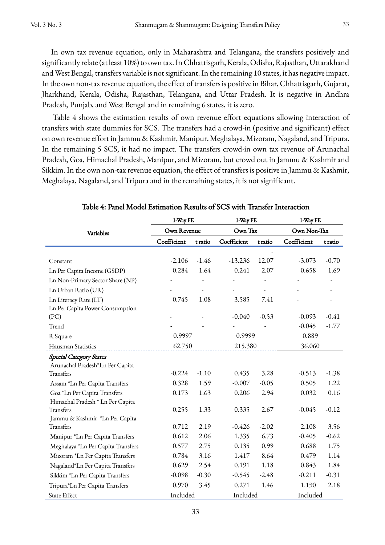In own tax revenue equation, only in Maharashtra and Telangana, the transfers positively and significantly relate (at least 10%) to own tax. In Chhattisgarh, Kerala, Odisha, Rajasthan, Uttarakhand and West Bengal, transfers variable is not significant. In the remaining 10 states, it has negative impact. In the own non-tax revenue equation, the effect of transfers is positive in Bihar, Chhattisgarh, Gujarat, Jharkhand, Kerala, Odisha, Rajasthan, Telangana, and Uttar Pradesh. It is negative in Andhra Pradesh, Punjab, and West Bengal and in remaining 6 states, it is zero.

Table 4 shows the estimation results of own revenue effort equations allowing interaction of transfers with state dummies for SCS. The transfers had a crowd-in (positive and significant) effect on own revenue effort in Jammu & Kashmir, Manipur, Meghalaya, Mizoram, Nagaland, and Tripura. In the remaining 5 SCS, it had no impact. The transfers crowd-in own tax revenue of Arunachal Pradesh, Goa, Himachal Pradesh, Manipur, and Mizoram, but crowd out in Jammu & Kashmir and Sikkim. In the own non-tax revenue equation, the effect of transfers is positive in Jammu & Kashmir, Meghalaya, Nagaland, and Tripura and in the remaining states, it is not significant.

|                                    | 1-Way FE          |         | 1-Way FE    |         | 1-Way FE    |         |
|------------------------------------|-------------------|---------|-------------|---------|-------------|---------|
| Variables                          | Own Revenue       |         | Own Tax     |         | Own Non-Tax |         |
|                                    | Coefficient       | t ratio | Coefficient | t ratio | Coefficient | t ratio |
|                                    |                   |         |             |         |             |         |
| Constant                           | $-2.106$          | $-1.46$ | $-13.236$   | 12.07   | $-3.073$    | $-0.70$ |
| Ln Per Capita Income (GSDP)        | 0.284             | 1.64    | 0.241       | 2.07    | 0.658       | 1.69    |
| Ln Non-Primary Sector Share (NP)   |                   |         |             |         |             |         |
| Ln Urban Ratio (UR)                |                   |         |             |         |             |         |
| Ln Literacy Rate (LT)              | 0.745             | 1.08    | 3.585       | 7.41    |             |         |
| Ln Per Capita Power Consumption    |                   |         |             |         |             |         |
| (PC)                               |                   |         | $-0.040$    | $-0.53$ | $-0.093$    | $-0.41$ |
| Trend                              |                   |         |             |         | $-0.045$    | $-1.77$ |
| R Square                           | 0.9997            |         | 0.9999      |         | 0.889       |         |
| Hausman Statistics                 | 62.750<br>215.380 |         |             | 36.060  |             |         |
| <b>Special Category States</b>     |                   |         |             |         |             |         |
| Arunachal Pradesh*Ln Per Capita    |                   |         |             |         |             |         |
| Transfers                          | $-0.224$          | $-1.10$ | 0.435       | 3.28    | $-0.513$    | $-1.38$ |
| Assam *Ln Per Capita Transfers     | 0.328             | 1.59    | $-0.007$    | $-0.05$ | 0.505       | 1.22    |
| Goa *Ln Per Capita Transfers       | 0.173             | 1.63    | 0.206       | 2.94    | 0.032       | 0.16    |
| Himachal Pradesh * Ln Per Capita   |                   |         |             |         |             |         |
| Transfers                          | 0.255             | 1.33    | 0.335       | 2.67    | $-0.045$    | $-0.12$ |
| Jammu & Kashmir *Ln Per Capita     |                   |         |             |         |             |         |
| Transfers                          | 0.712             | 2.19    | $-0.426$    | $-2.02$ | 2.108       | 3.56    |
| Manipur *Ln Per Capita Transfers   | 0.612             | 2.06    | 1.335       | 6.73    | $-0.405$    | $-0.62$ |
| Meghalaya *Ln Per Capita Transfers | 0.577             | 2.75    | 0.135       | 0.99    | 0.688       | 1.75    |
| Mizoram *Ln Per Capita Transfers   | 0.784             | 3.16    | 1.417       | 8.64    | 0.479       | 1.14    |
| Nagaland*Ln Per Capita Transfers   | 0.629             | 2.54    | 0.191       | 1.18    | 0.843       | 1.84    |
| Sikkim *Ln Per Capita Transfers    | $-0.098$          | $-0.30$ | $-0.545$    | $-2.48$ | $-0.211$    | $-0.31$ |
| Tripura*Ln Per Capita Transfers    | 0.970             | 3.45    | 0.271       | 1.46    | 1.190       | 2.18    |
| State Effect                       | Included          |         | Included    |         | Included    |         |

Table 4: Panel Model Estimation Results of SCS with Transfer Interaction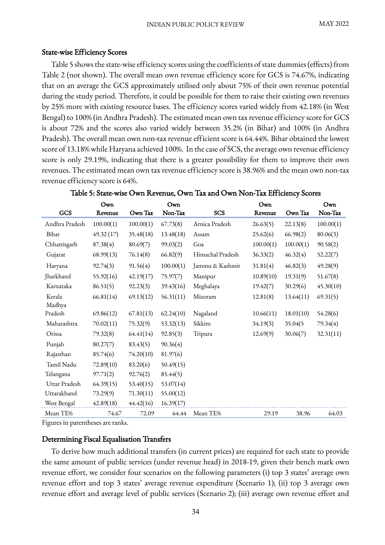#### State-wise Efficiency Scores

Table 5 shows the state-wise efficiency scores using the coefficients of state dummies (effects) from Table 2 (not shown). The overall mean own revenue efficiency score for GCS is 74.67%, indicating that on an average the GCS approximately utilised only about 75% of their own revenue potential during the study period. Therefore, it could be possible for them to raise their existing own revenues by 25% more with existing resource bases. The efficiency scores varied widely from 42.18% (in West Bengal) to 100% (in Andhra Pradesh). The estimated mean own tax revenue efficiency score for GCS is about 72% and the scores also varied widely between 35.2% (in Bihar) and 100% (in Andhra Pradesh). The overall mean own non-tax revenue efficient score is 64.44%. Bihar obtained the lowest score of 13.18% while Haryana achieved 100%. In the case of SCS, the average own revenue efficiency score is only 29.19%, indicating that there is a greater possibility for them to improve their own revenues. The estimated mean own tax revenue efficiency score is 38.96% and the mean own non-tax revenue efficiency score is 64%.

|                | Own       |           | Own       |                  | Own       |           | Own       |
|----------------|-----------|-----------|-----------|------------------|-----------|-----------|-----------|
| GCS            | Revenue   | Own Tax   | Non-Tax   | <b>SCS</b>       | Revenue   | Own Tax   | Non-Tax   |
| Andhra Pradesh | 100.00(1) | 100.00(1) | 67.73(8)  | Arnica Pradesh   | 26.63(5)  | 22.13(8)  | 100.00(1) |
| Bihar          | 49.32(17) | 35.48(18) | 13.48(18) | Assam            | 25.62(6)  | 66.98(2)  | 80.06(3)  |
| Chhattisgarh   | 87.38(4)  | 80.69(7)  | 99.03(2)  | Goa              | 100.00(1) | 100.00(1) | 90.58(2)  |
| Gujarat        | 68.99(13) | 76.14(8)  | 66.82(9)  | Himachal Pradesh | 36.33(2)  | 46.32(4)  | 52.22(7)  |
| Haryana        | 92.74(3)  | 91.56(4)  | 100.00(1) | Jammu & Kashmir  | 31.81(4)  | 46.82(3)  | 49.28(9)  |
| Jharkhand      | 55.92(16) | 42.19(17) | 75.97(7)  | Manipur          | 10.89(10) | 19.31(9)  | 51.67(8)  |
| Karnataka      | 86.51(5)  | 92.23(3)  | 39.43(16) | Meghalaya        | 19.42(7)  | 30.29(6)  | 45.30(10) |
| Kerala         | 66.81(14) | 69.13(12) | 56.31(11) | Mizoram          | 12.81(8)  | 13.64(11) | 69.31(5)  |
| Madhya         |           |           |           |                  |           |           |           |
| Pradesh        | 69.86(12) | 67.81(13) | 62.24(10) | Nagaland         | 10.66(11) | 18.01(10) | 54.28(6)  |
| Maharashtra    | 70.02(11) | 75.32(9)  | 53.32(13) | Sikkim           | 34.19(3)  | 35.04(5   | 79.34(4)  |
| Orissa         | 79.32(8)  | 64.41(14) | 92.85(3)  | Tripura          | 12.69(9)  | 30.06(7)  | 32.31(11) |
| Punjab         | 80.27(7)  | 83.43(5)  | 90.36(4)  |                  |           |           |           |
| Rajasthan      | 85.74(6)  | 74.20(10) | 81.97(6)  |                  |           |           |           |
| Tamil Nadu     | 72.89(10) | 83.20(6)  | 50.49(15) |                  |           |           |           |
| Telangana      | 97.71(2)  | 92.76(2)  | 85.44(5)  |                  |           |           |           |
| Uttar Pradesh  | 64.39(15) | 53.40(15) | 53.07(14) |                  |           |           |           |
| Uttarakhand    | 73.29(9)  | 71.30(11) | 55.00(12) |                  |           |           |           |
| West Bengal    | 42.89(18) | 44.42(16) | 16.39(17) |                  |           |           |           |
| Mean TE%       | 74.67     | 72.09     | 64.44     | Mean TE%         | 29.19     | 38.96     | 64.03     |

### Table 5: State-wise Own Revenue, Own Tax and Own Non-Tax Efficiency Scores

Figures in parentheses are ranks.

### Determining Fiscal Equalisation Transfers

To derive how much additional transfers (in current prices) are required for each state to provide the same amount of public services (under revenue head) in 2018-19, given their bench mark own revenue effort, we consider four scenarios on the following parameters (i) top 3 states' average own revenue effort and top 3 states' average revenue expenditure (Scenario 1); (ii) top 3 average own revenue effort and average level of public services (Scenario 2); (iii) average own revenue effort and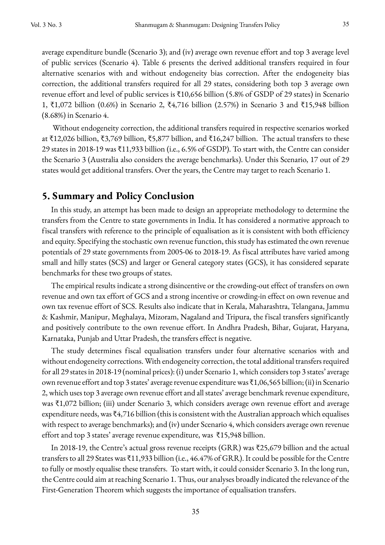average expenditure bundle (Scenario 3); and (iv) average own revenue effort and top 3 average level of public services (Scenario 4). Table 6 presents the derived additional transfers required in four alternative scenarios with and without endogeneity bias correction. After the endogeneity bias correction, the additional transfers required for all 29 states, considering both top 3 average own revenue effort and level of public services is ₹10,656 billion (5.8% of GSDP of 29 states) in Scenario 1, ₹1,072 billion (0.6%) in Scenario 2, ₹4,716 billion (2.57%) in Scenario 3 and ₹15,948 billion (8.68%) in Scenario 4.

Without endogeneity correction, the additional transfers required in respective scenarios worked at ₹12,026 billion, ₹3,769 billion, ₹5,877 billion, and ₹16,247 billion. The actual transfers to these 29 states in 2018-19 was ₹11,933 billion (i.e., 6.5% of GSDP). To start with, the Centre can consider the Scenario 3 (Australia also considers the average benchmarks). Under this Scenario, 17 out of 29 states would get additional transfers. Over the years, the Centre may target to reach Scenario 1.

## **5. Summary and Policy Conclusion**

In this study, an attempt has been made to design an appropriate methodology to determine the transfers from the Centre to state governments in India. It has considered a normative approach to fiscal transfers with reference to the principle of equalisation as it is consistent with both efficiency and equity. Specifying the stochastic own revenue function, this study has estimated the own revenue potentials of 29 state governments from 2005-06 to 2018-19. As fiscal attributes have varied among small and hilly states (SCS) and larger or General category states (GCS), it has considered separate benchmarks for these two groups of states.

The empirical results indicate a strong disincentive or the crowding-out effect of transfers on own revenue and own tax effort of GCS and a strong incentive or crowding-in effect on own revenue and own tax revenue effort of SCS. Results also indicate that in Kerala, Maharashtra, Telangana, Jammu & Kashmir, Manipur, Meghalaya, Mizoram, Nagaland and Tripura, the fiscal transfers significantly and positively contribute to the own revenue effort. In Andhra Pradesh, Bihar, Gujarat, Haryana, Karnataka, Punjab and Uttar Pradesh, the transfers effect is negative.

The study determines fiscal equalisation transfers under four alternative scenarios with and without endogeneity corrections. With endogeneity correction, the total additional transfers required for all 29 states in 2018-19 (nominal prices): (i) under Scenario 1, which considers top 3 states' average own revenue effort and top 3 states' average revenue expenditure was ₹1,06,565 billion; (ii) in Scenario 2, which uses top 3 average own revenue effort and all states' average benchmark revenue expenditure, was ₹1,072 billion; (iii) under Scenario 3, which considers average own revenue effort and average expenditure needs, was ₹4,716 billion (this is consistent with the Australian approach which equalises with respect to average benchmarks); and (iv) under Scenario 4, which considers average own revenue effort and top 3 states' average revenue expenditure, was ₹15,948 billion.

In 2018-19, the Centre's actual gross revenue receipts (GRR) was ₹25,679 billion and the actual transfers to all 29 States was ₹11,933 billion (i.e., 46.47% of GRR). It could be possible for the Centre to fully or mostly equalise these transfers. To start with, it could consider Scenario 3. In the long run, the Centre could aim at reaching Scenario 1. Thus, our analyses broadly indicated the relevance of the First-Generation Theorem which suggests the importance of equalisation transfers.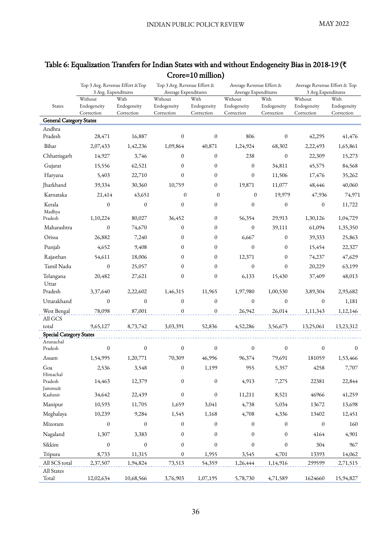|                                          | Top 3 Avg. Revenue Effort & Top<br>3 Avg. Expenditures |                  | Top 3 Avg. Revenue Effort &<br>Average Expenditures |                  | Average Revenue Effort &<br>Average Expenditures |                  | Average Revenue Effort & Top<br>3 Avg. Expenditures |             |
|------------------------------------------|--------------------------------------------------------|------------------|-----------------------------------------------------|------------------|--------------------------------------------------|------------------|-----------------------------------------------------|-------------|
|                                          | Without                                                | With             | Without                                             | With             | Without                                          | With             | Without                                             | With        |
| <b>States</b>                            | Endogeneity                                            | Endogeneity      | Endogeneity                                         | Endogeneity      | Endogeneity                                      | Endogeneity      | Endogeneity                                         | Endogeneity |
|                                          | Correction                                             | Correction       | Correction                                          | Correction       | Correction                                       | Correction       | Correction                                          | Correction  |
| <b>General Category States</b><br>Andhra |                                                        |                  |                                                     |                  |                                                  |                  |                                                     |             |
| Pradesh                                  | 28,471                                                 | 16,887           | 0                                                   | $\boldsymbol{0}$ | 806                                              | 0                | 42,295                                              | 41,476      |
| Bihar                                    | 2,07,433                                               | 1,42,236         | 1,09,864                                            | 40,871           | 1,24,924                                         | 68,302           | 2,22,493                                            | 1,65,861    |
| Chhattisgarh                             | 14,927                                                 | 3,746            | $\mathbf{0}$                                        | $\mathbf{0}$     | 238                                              | $\mathbf{0}$     | 22,309                                              | 15,273      |
| Gujarat                                  | 15,556                                                 | 62,521           | $\mathbf{0}$                                        | 0                | $\boldsymbol{0}$                                 | 34,811           | 45,575                                              | 84,568      |
| Haryana                                  | 5,403                                                  | 22,710           | $\mathbf{0}$                                        | 0                | $\boldsymbol{0}$                                 | 11,506           | 17,476                                              | 35,262      |
| Jharkhand                                | 39,334                                                 | 30,360           | 10,759                                              | $\mathbf{0}$     | 19,871                                           | 11,077           | 48,446                                              | 40,060      |
| Karnataka                                | 21,414                                                 | 43,651           | $\Omega$                                            | $\mathbf{0}$     | $\mathbf{0}$                                     | 19,979           | 47,936                                              | 74,971      |
| Kerala<br>Madhya                         | $\boldsymbol{0}$                                       | $\boldsymbol{0}$ | $\boldsymbol{0}$                                    | 0                | $\boldsymbol{0}$                                 | $\boldsymbol{0}$ | 0                                                   | 11,722      |
| Pradesh                                  | 1,10,224                                               | 80,027           | 36,452                                              | 0                | 56,354                                           | 29,913           | 1,30,126                                            | 1,04,729    |
| Maharashtra                              | $\boldsymbol{0}$                                       | 74,670           | 0                                                   | 0                | $\mathbf{0}$                                     | 39,111           | 61,094                                              | 1,35,350    |
| Orissa                                   | 26,882                                                 | 7,240            | 0                                                   | 0                | 6,667                                            | $\mathbf{0}$     | 39,333                                              | 25,863      |
| Punjab                                   | 4,652                                                  | 9,408            | 0                                                   | 0                | $\mathbf{0}$                                     | $\mathbf{0}$     | 15,454                                              | 22,327      |
| Rajasthan                                | 54,611                                                 | 18,006           | 0                                                   | 0                | 12,371                                           | $\theta$         | 74,237                                              | 47,629      |
| Tamil Nadu                               | $\boldsymbol{0}$                                       | 25,057           | $\mathbf{0}$                                        | 0                | $\boldsymbol{0}$                                 | $\theta$         | 20,229                                              | 63,199      |
| Telangana<br>Uttar                       | 20,482                                                 | 27,621           | $\mathbf{0}$                                        | $\boldsymbol{0}$ | 6,133                                            | 15,430           | 37,409                                              | 48,013      |
| Pradesh                                  | 3,37,640                                               | 2,22,602         | 1,46,315                                            | 11,965           | 1,97,980                                         | 1,00,530         | 3,89,304                                            | 2,93,682    |
| Uttarakhand                              | $\mathbf{0}$                                           | $\mathbf{0}$     | $\boldsymbol{0}$                                    | $\mathbf{0}$     | $\mathbf{0}$                                     | $\mathbf{0}$     | $\mathbf{0}$                                        | 1,181       |
| West Bengal                              | 78,098                                                 | 87,001           | $\boldsymbol{0}$                                    | 0                | 26,942                                           | 26,014           | 1,11,343                                            | 1,12,146    |
| All GCS                                  |                                                        |                  | 3,03,391                                            | 52,836           |                                                  |                  |                                                     |             |
| total<br><b>Special Category States</b>  | 9,65,127                                               | 8,73,742         |                                                     |                  | 4,52,286                                         | 3,56,673         | 13,25,061                                           | 13,23,312   |
| Arunachal                                |                                                        |                  |                                                     |                  |                                                  |                  |                                                     |             |
| Pradesh                                  | $\boldsymbol{0}$                                       | $\mathbf{0}$     | $\boldsymbol{0}$                                    | $\mathbf{0}$     | $\mathbf{0}$                                     | $\boldsymbol{0}$ | $\mathbf{0}$                                        | $\Omega$    |
| Assam                                    | 1,54,995                                               | 1,20,771         | 70,309                                              | 46,996           | 96,374                                           | 79,691           | 181059                                              | 1,53,466    |
| Goa                                      | 2,536                                                  | 3,548            | $\boldsymbol{0}$                                    | 1,199            | 955                                              | 5,357            | 4258                                                | 7,707       |
| Himachal<br>Pradesh<br>Jammu&            | 14,463                                                 | 12,379           | $\boldsymbol{0}$                                    | $\boldsymbol{0}$ | 4,913                                            | 7,275            | 22381                                               | 22,844      |
| Kashmir                                  | 34,642                                                 | 22,439           | $\boldsymbol{0}$                                    | $\boldsymbol{0}$ | 11,211                                           | 8,521            | 46966                                               | 41,259      |
| Manipur                                  | 10,593                                                 | 11,705           | 1,659                                               | 3,041            | 4,738                                            | 5,034            | 13672                                               | 13,698      |
| Meghalaya                                | 10,239                                                 | 9,284            | 1,545                                               | 1,168            | 4,708                                            | 4,336            | 13402                                               | 12,451      |
| Mizoram                                  | 0                                                      | $\mathbf{0}$     | 0                                                   | 0                | $\mathbf{0}$                                     | $\boldsymbol{0}$ | $\mathbf{0}$                                        | 160         |
| Nagaland                                 | 1,307                                                  | 3,383            | $\boldsymbol{0}$                                    | $\boldsymbol{0}$ | $\boldsymbol{0}$                                 | $\boldsymbol{0}$ | 4164                                                | 4,901       |
| Sikkim                                   | $\boldsymbol{0}$                                       | $\boldsymbol{0}$ | $\boldsymbol{0}$                                    | $\boldsymbol{0}$ | $\boldsymbol{0}$                                 | $\boldsymbol{0}$ | 304                                                 | 967         |
| Tripura                                  | 8,733                                                  | 11,315           | $\boldsymbol{0}$                                    | 1,955            | 3,545                                            | 4,701            | 13393                                               | 14,062      |
| All SCS total                            | 2,37,507                                               | 1,94,824         | 73,513                                              | 54,359           | 1,26,444                                         | 1,14,916         | 299599                                              | 2,71,515    |
| All States                               |                                                        |                  |                                                     |                  |                                                  |                  |                                                     |             |
| Total                                    | 12,02,634                                              | 10,68,566        | 3,76,903                                            | 1,07,195         | 5,78,730                                         | 4,71,589         | 1624660                                             | 15,94,827   |

# Table 6: Equalization Transfers for Indian States with and without Endogeneity Bias in 2018-19 (₹ Crore=10 million)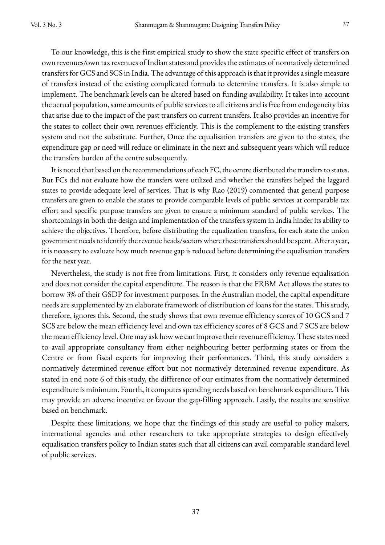To our knowledge, this is the first empirical study to show the state specific effect of transfers on own revenues/own tax revenues of Indian states and provides the estimates of normatively determined transfers for GCS and SCS in India. The advantage of this approach is that it provides a single measure of transfers instead of the existing complicated formula to determine transfers. It is also simple to implement. The benchmark levels can be altered based on funding availability. It takes into account the actual population, same amounts of public services to all citizens and is free from endogeneity bias that arise due to the impact of the past transfers on current transfers. It also provides an incentive for the states to collect their own revenues efficiently. This is the complement to the existing transfers system and not the substitute. Further, Once the equalisation transfers are given to the states, the expenditure gap or need will reduce or eliminate in the next and subsequent years which will reduce the transfers burden of the centre subsequently.

It is noted that based on the recommendations of each FC, the centre distributed the transfers to states. But FCs did not evaluate how the transfers were utilized and whether the transfers helped the laggard states to provide adequate level of services. That is why Rao (2019) commented that general purpose transfers are given to enable the states to provide comparable levels of public services at comparable tax effort and specific purpose transfers are given to ensure a minimum standard of public services. The shortcomings in both the design and implementation of the transfers system in India hinder its ability to achieve the objectives. Therefore, before distributing the equalization transfers, for each state the union government needs to identify the revenue heads/sectors where these transfers should be spent. After a year, it is necessary to evaluate how much revenue gap is reduced before determining the equalisation transfers for the next year.

Nevertheless, the study is not free from limitations. First, it considers only revenue equalisation and does not consider the capital expenditure. The reason is that the FRBM Act allows the states to borrow 3% of their GSDP for investment purposes. In the Australian model, the capital expenditure needs are supplemented by an elaborate framework of distribution of loans for the states. This study, therefore, ignores this. Second, the study shows that own revenue efficiency scores of 10 GCS and 7 SCS are below the mean efficiency level and own tax efficiency scores of 8 GCS and 7 SCS are below the mean efficiency level. One may ask how we can improve their revenue efficiency. These states need to avail appropriate consultancy from either neighbouring better performing states or from the Centre or from fiscal experts for improving their performances. Third, this study considers a normatively determined revenue effort but not normatively determined revenue expenditure. As stated in end note 6 of this study, the difference of our estimates from the normatively determined expenditure is minimum. Fourth, it computes spending needs based on benchmark expenditure. This may provide an adverse incentive or favour the gap-filling approach. Lastly, the results are sensitive based on benchmark.

Despite these limitations, we hope that the findings of this study are useful to policy makers, international agencies and other researchers to take appropriate strategies to design effectively equalisation transfers policy to Indian states such that all citizens can avail comparable standard level of public services.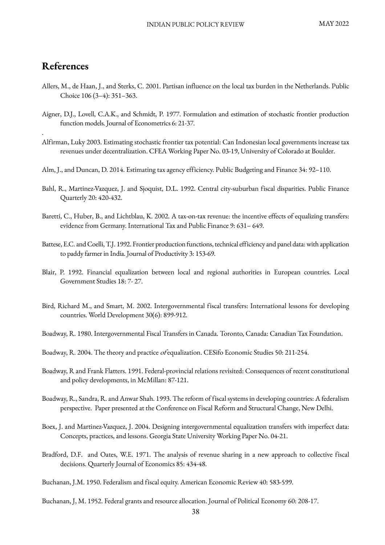# **References**

.

- Allers, M., de Haan, J., and Sterks, C. 2001. Partisan influence on the local tax burden in the Netherlands. Public Choice 106 (3–4): 351–363.
- Aigner, D.J., Lovell, C.A.K., and Schmidt, P. 1977. Formulation and estimation of stochastic frontier production function models. Journal of Econometrics 6: 21-37.
- Alfirman, Luky 2003. Estimating stochastic frontier tax potential: Can Indonesian local governments increase tax revenues under decentralization. CFEA Working Paper No. 03-19, University of Colorado at Boulder.
- Alm, J., and Duncan, D. 2014. Estimating tax agency efficiency. Public Budgeting and Finance 34: 92–110.
- Bahl, R., Martinez-Vazquez, J. and Sjoquist, D.L. 1992. Central city-suburban fiscal disparities. Public Finance Quarterly 20: 420-432.
- Baretti, C., Huber, B., and Lichtblau, K. 2002. A tax-on-tax revenue: the incentive effects of equalizing transfers: evidence from Germany. International Tax and Public Finance 9: 631– 649.
- Battese, E.C. and Coelli, T.J. 1992. Frontier production functions, technical efficiency and panel data: with application to paddy farmer in India. Journal of Productivity 3: 153-69.
- Blair, P. 1992. Financial equalization between local and regional authorities in European countries. Local Government Studies 18: 7- 27.
- Bird, Richard M., and Smart, M. 2002. Intergovernmental fiscal transfers: International lessons for developing countries. World Development 30(6): 899-912.
- Boadway, R. 1980. Intergovernmental Fiscal Transfers in Canada. Toronto, Canada: Canadian Tax Foundation.

Boadway, R. 2004. The theory and practice ofequalization. CESifo Economic Studies 50: 211-254.

- Boadway, R and Frank Flatters. 1991. Federal-provincial relations revisited: Consequences of recent constitutional and policy developments, in McMillan: 87-121.
- Boadway, R., Sandra, R. and Anwar Shah. 1993. The reform of fiscal systems in developing countries: A federalism perspective. Paper presented at the Conference on Fiscal Reform and Structural Change, New Delhi.
- Boex, J. and Martinez-Vazquez, J. 2004. Designing intergovernmental equalization transfers with imperfect data: Concepts, practices, and lessons. Georgia State University Working Paper No. 04-21.
- Bradford, D.F. and Oates, W.E. 1971. The analysis of revenue sharing in a new approach to collective fiscal decisions. Quarterly Journal of Economics 85: 434-48.
- Buchanan, J.M. 1950. Federalism and fiscal equity. American Economic Review 40: 583-599.

Buchanan, J, M. 1952. Federal grants and resource allocation. Journal of Political Economy 60: 208-17.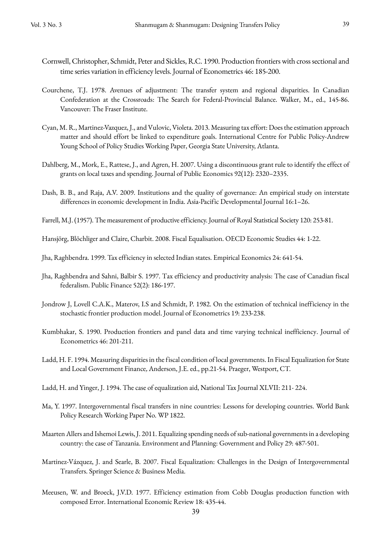- Cornwell, Christopher, Schmidt, Peter and Sickles, R.C. 1990. Production frontiers with cross sectional and time series variation in efficiency levels. Journal of Econometrics 46: 185-200.
- Courchene, T.J. 1978. Avenues of adjustment: The transfer system and regional disparities. In Canadian Confederation at the Crossroads: The Search for Federal-Provincial Balance. Walker, M., ed., 145-86. Vancouver: The Fraser Institute.
- Cyan, M. R., Martinez-Vazquez, J., and Vulovic, Violeta. 2013. Measuring tax effort: Does the estimation approach matter and should effort be linked to expenditure goals. International Centre for Public Policy-Andrew Young School of Policy Studies Working Paper, Georgia State University, Atlanta.
- Dahlberg, M., Mork, E., Rattese, J., and Agren, H. 2007. Using a discontinuous grant rule to identify the effect of grants on local taxes and spending. Journal of Public Economics 92(12): 2320–2335.
- Dash, B. B., and Raja, A.V. 2009. Institutions and the quality of governance: An empirical study on interstate differences in economic development in India. Asia-Pacific Developmental Journal 16:1–26.
- Farrell, M.J. (1957). The measurement of productive efficiency. Journal of Royal Statistical Society 120: 253-81.
- Hansjörg, Blöchliger and Claire, Charbit. 2008. Fiscal Equalisation. OECD Economic Studies 44: 1-22.
- Jha, Raghbendra. 1999. Tax efficiency in selected Indian states. Empirical Economics 24: 641-54.
- Jha, Raghbendra and Sahni, Balbir S. 1997. Tax efficiency and productivity analysis: The case of Canadian fiscal federalism. Public Finance 52(2): 186-197.
- Jondrow J, Lovell C.A.K., Materov, I.S and Schmidt, P. 1982. On the estimation of technical inefficiency in the stochastic frontier production model. Journal of Econometrics 19: 233-238.
- Kumbhakar, S. 1990. Production frontiers and panel data and time varying technical inefficiency. Journal of Econometrics 46: 201-211.
- Ladd, H. F. 1994. Measuring disparities in the fiscal condition of local governments. In Fiscal Equalization for State and Local Government Finance, Anderson, J.E. ed., pp.21-54. Praeger, Westport, CT.
- Ladd, H. and Yinger, J. 1994. The case of equalization aid, National Tax Journal XLVII: 211- 224.
- Ma, Y. 1997. Intergovernmental fiscal transfers in nine countries: Lessons for developing countries. World Bank Policy Research Working Paper No. WP 1822.
- Maarten Allers and Ishemoi Lewis, J. 2011. Equalizing spending needs of sub-national governments in a developing country: the case of Tanzania. Environment and Planning: Government and Policy 29: 487-501.
- Martinez-Vázquez, J. and Searle, B. 2007. Fiscal Equalization: Challenges in the Design of Intergovernmental Transfers. Springer Science & Business Media.
- Meeusen, W. and Broeck, J.V.D. 1977. Efficiency estimation from Cobb Douglas production function with composed Error. International Economic Review 18: 435-44.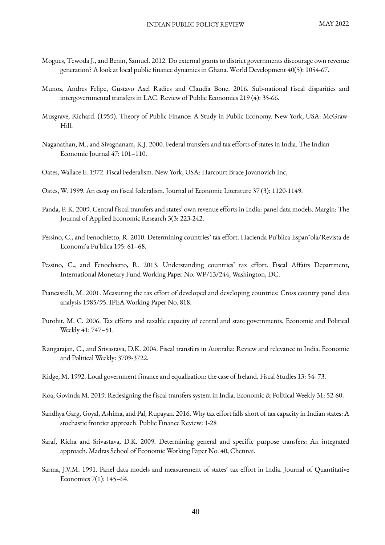- Mogues, Tewoda J., and Benin, Samuel. 2012. Do external grants to district governments discourage own revenue generation? A look at local public finance dynamics in Ghana. World Development 40(5): 1054-67.
- Munoz, Andres Felipe, Gustavo Axel Radics and Claudia Bone. 2016. Sub-national fiscal disparities and intergovernmental transfers in LAC. Review of Public Economics 219 (4): 35-66.
- Musgrave, Richard. (1959). Theory of Public Finance: A Study in Public Economy. New York, USA: McGraw-Hill.
- Naganathan, M., and Sivagnanam, K.J. 2000. Federal transfers and tax efforts of states in India. The Indian Economic Journal 47: 101–110.
- Oates, Wallace E. 1972. Fiscal Federalism. New York, USA: Harcourt Brace Jovanovich Inc,
- Oates, W. 1999. An essay on fiscal federalism. Journal of Economic Literature 37 (3): 1120-1149.
- Panda, P. K. 2009. Central fiscal transfers and states' own revenue efforts in India: panel data models. Margin: The Journal of Applied Economic Research 3(3: 223-242.
- Pessino, C., and Fenochietto, R. 2010. Determining countries' tax effort. Hacienda Pu´blica Espan˜ola/Revista de Economı´a Pu´blica 195: 61–68.
- Pessino, C., and Fenochietto, R. 2013. Understanding countries' tax effort. Fiscal Affairs Department, International Monetary Fund Working Paper No. WP/13/244, Washington, DC.
- Piancastelli, M. 2001. Measuring the tax effort of developed and developing countries: Cross country panel data analysis-1985/95. IPEA Working Paper No. 818.
- Purohit, M. C. 2006. Tax efforts and taxable capacity of central and state governments. Economic and Political Weekly 41: 747–51.
- Rangarajan, C., and Srivastava, D.K. 2004. Fiscal transfers in Australia: Review and relevance to India. Economic and Political Weekly: 3709-3722.
- Ridge, M. 1992. Local government finance and equalization: the case of Ireland. Fiscal Studies 13: 54- 73.
- Roa, Govinda M. 2019. Redesigning the fiscal transfers system in India. Economic & Political Weekly 31: 52-60.
- Sandhya Garg, Goyal, Ashima, and Pal, Rupayan. 2016. Why tax effort falls short of tax capacity in Indian states: A stochastic frontier approach. Public Finance Review: 1-28
- Saraf, Richa and Srivastava, D.K. 2009. Determining general and specific purpose transfers: An integrated approach. Madras School of Economic Working Paper No. 40, Chennai.
- Sarma, J.V.M. 1991. Panel data models and measurement of states' tax effort in India. Journal of Quantitative Economics 7(1): 145–64.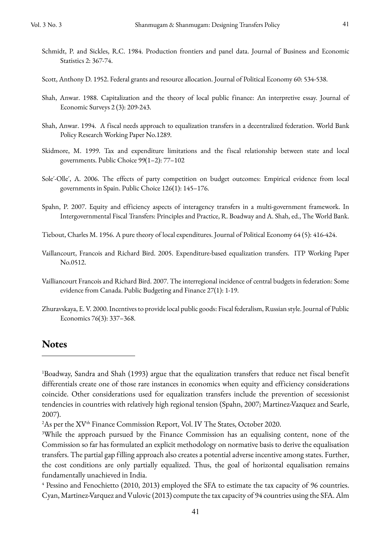- Schmidt, P. and Sickles, R.C. 1984. Production frontiers and panel data. Journal of Business and Economic Statistics 2: 367-74.
- Scott, Anthony D. 1952. Federal grants and resource allocation. Journal of Political Economy 60: 534-538.
- Shah, Anwar. 1988. Capitalization and the theory of local public finance: An interpretive essay. Journal of Economic Surveys 2 (3): 209-243.
- Shah, Anwar. 1994. A fiscal needs approach to equalization transfers in a decentralized federation. World Bank Policy Research Working Paper No.1289.
- Skidmore, M. 1999. Tax and expenditure limitations and the fiscal relationship between state and local governments. Public Choice 99(1–2): 77–102
- Sole´-Olle´, A. 2006. The effects of party competition on budget outcomes: Empirical evidence from local governments in Spain. Public Choice 126(1): 145–176.
- Spahn, P. 2007. Equity and efficiency aspects of interagency transfers in a multi-government framework. In Intergovernmental Fiscal Transfers: Principles and Practice, R. Boadway and A. Shah, ed., The World Bank.
- Tiebout, Charles M. 1956. A pure theory of local expenditures. Journal of Political Economy 64 (5): 416-424.
- Vaillancourt, Francois and Richard Bird. 2005. Expenditure-based equalization transfers. ITP Working Paper No.0512.
- Vailliancourt Francois and Richard Bird. 2007. The interregional incidence of central budgets in federation: Some evidence from Canada. Public Budgeting and Finance 27(1): 1-19.
- Zhuravskaya, E. V. 2000. Incentives to provide local public goods: Fiscal federalism, Russian style. Journal of Public Economics 76(3): 337–368.

### **Notes**

<sup>1</sup> Boadway, Sandra and Shah (1993) argue that the equalization transfers that reduce net fiscal benefit differentials create one of those rare instances in economics when equity and efficiency considerations coincide. Other considerations used for equalization transfers include the prevention of secessionist tendencies in countries with relatively high regional tension (Spahn, 2007; Martinez-Vazquez and Searle, 2007).

 $^{2}$ As per the XV<sup>th</sup> Finance Commission Report, Vol. IV The States, October 2020.

<sup>&</sup>lt;sup>3</sup>While the approach pursued by the Finance Commission has an equalising content, none of the Commission so far has formulated an explicit methodology on normative basis to derive the equalisation transfers. The partial gap filling approach also creates a potential adverse incentive among states. Further, the cost conditions are only partially equalized. Thus, the goal of horizontal equalisation remains fundamentally unachieved in India.

<sup>&</sup>lt;sup>4</sup> Pessino and Fenochietto (2010, 2013) employed the SFA to estimate the tax capacity of 96 countries. Cyan, Martinez-Varquez and Vulovic (2013) compute the tax capacity of 94 countries using the SFA. Alm